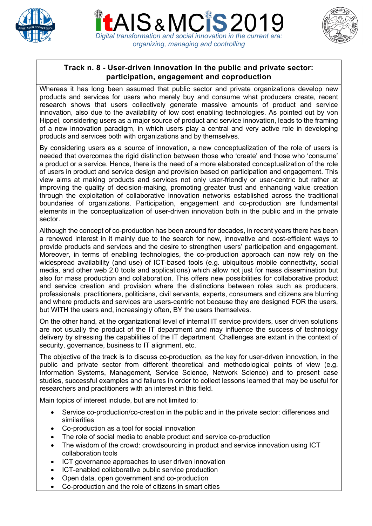





## **Track n. 8 - User-driven innovation in the public and private sector: participation, engagement and coproduction**

Whereas it has long been assumed that public sector and private organizations develop new products and services for users who merely buy and consume what producers create, recent research shows that users collectively generate massive amounts of product and service innovation, also due to the availability of low cost enabling technologies. As pointed out by von Hippel, considering users as a major source of product and service innovation, leads to the framing of a new innovation paradigm, in which users play a central and very active role in developing products and services both with organizations and by themselves.

By considering users as a source of innovation, a new conceptualization of the role of users is needed that overcomes the rigid distinction between those who 'create' and those who 'consume' a product or a service. Hence, there is the need of a more elaborated conceptualization of the role of users in product and service design and provision based on participation and engagement. This view aims at making products and services not only user-friendly or user-centric but rather at improving the quality of decision-making, promoting greater trust and enhancing value creation through the exploitation of collaborative innovation networks established across the traditional boundaries of organizations. Participation, engagement and co-production are fundamental elements in the conceptualization of user-driven innovation both in the public and in the private sector.

Although the concept of co-production has been around for decades, in recent years there has been a renewed interest in it mainly due to the search for new, innovative and cost-efficient ways to provide products and services and the desire to strengthen users' participation and engagement. Moreover, in terms of enabling technologies, the co-production approach can now rely on the widespread availability (and use) of ICT-based tools (e.g. ubiquitous mobile connectivity, social media, and other web 2.0 tools and applications) which allow not just for mass dissemination but also for mass production and collaboration. This offers new possibilities for collaborative product and service creation and provision where the distinctions between roles such as producers, professionals, practitioners, politicians, civil servants, experts, consumers and citizens are blurring and where products and services are users-centric not because they are designed FOR the users, but WITH the users and, increasingly often, BY the users themselves.

On the other hand, at the organizational level of internal IT service providers, user driven solutions are not usually the product of the IT department and may influence the success of technology delivery by stressing the capabilities of the IT department. Challenges are extant in the context of security, governance, business to IT alignment, etc.

The objective of the track is to discuss co-production, as the key for user-driven innovation, in the public and private sector from different theoretical and methodological points of view (e.g. Information Systems, Management, Service Science, Network Science) and to present case studies, successful examples and failures in order to collect lessons learned that may be useful for researchers and practitioners with an interest in this field.

Main topics of interest include, but are not limited to:

- Service co-production/co-creation in the public and in the private sector: differences and similarities
- Co-production as a tool for social innovation
- The role of social media to enable product and service co-production
- The wisdom of the crowd: crowdsourcing in product and service innovation using ICT collaboration tools
- ICT governance approaches to user driven innovation
- ICT-enabled collaborative public service production
- Open data, open government and co-production
- Co-production and the role of citizens in smart cities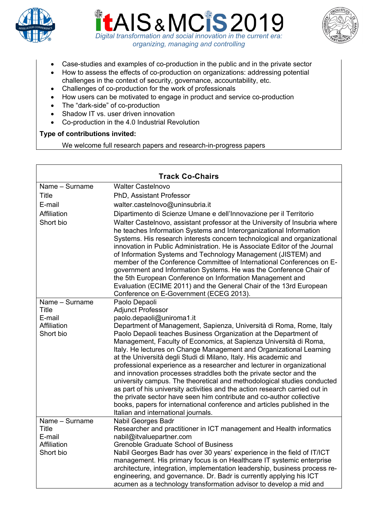





- Case-studies and examples of co-production in the public and in the private sector
- How to assess the effects of co-production on organizations: addressing potential challenges in the context of security, governance, accountability, etc.
- Challenges of co-production for the work of professionals
- How users can be motivated to engage in product and service co-production
- The "dark-side" of co-production
- Shadow IT vs. user driven innovation
- Co-production in the 4.0 Industrial Revolution

## **Type of contributions invited:**

We welcome full research papers and research-in-progress papers

| <b>Track Co-Chairs</b>   |                                                                                                                                                                                                                                                                                                                                                                                                                                                                                                                                                                                                                                                                                                                                                                                                                                                              |
|--------------------------|--------------------------------------------------------------------------------------------------------------------------------------------------------------------------------------------------------------------------------------------------------------------------------------------------------------------------------------------------------------------------------------------------------------------------------------------------------------------------------------------------------------------------------------------------------------------------------------------------------------------------------------------------------------------------------------------------------------------------------------------------------------------------------------------------------------------------------------------------------------|
| Name - Surname           | <b>Walter Castelnovo</b>                                                                                                                                                                                                                                                                                                                                                                                                                                                                                                                                                                                                                                                                                                                                                                                                                                     |
| <b>Title</b>             | PhD, Assistant Professor                                                                                                                                                                                                                                                                                                                                                                                                                                                                                                                                                                                                                                                                                                                                                                                                                                     |
| E-mail                   | walter.castelnovo@uninsubria.it                                                                                                                                                                                                                                                                                                                                                                                                                                                                                                                                                                                                                                                                                                                                                                                                                              |
| Affiliation              | Dipartimento di Scienze Umane e dell'Innovazione per il Territorio                                                                                                                                                                                                                                                                                                                                                                                                                                                                                                                                                                                                                                                                                                                                                                                           |
| Short bio                | Walter Castelnovo, assistant professor at the University of Insubria where<br>he teaches Information Systems and Interorganizational Information<br>Systems. His research interests concern technological and organizational<br>innovation in Public Administration. He is Associate Editor of the Journal<br>of Information Systems and Technology Management (JISTEM) and<br>member of the Conference Committee of International Conferences on E-<br>government and Information Systems. He was the Conference Chair of<br>the 5th European Conference on Information Management and<br>Evaluation (ECIME 2011) and the General Chair of the 13rd European<br>Conference on E-Government (ECEG 2013).                                                                                                                                                     |
| Name - Surname           | Paolo Depaoli                                                                                                                                                                                                                                                                                                                                                                                                                                                                                                                                                                                                                                                                                                                                                                                                                                                |
| Title                    | <b>Adjunct Professor</b>                                                                                                                                                                                                                                                                                                                                                                                                                                                                                                                                                                                                                                                                                                                                                                                                                                     |
| E-mail                   | paolo.depaoli@uniroma1.it                                                                                                                                                                                                                                                                                                                                                                                                                                                                                                                                                                                                                                                                                                                                                                                                                                    |
| Affiliation<br>Short bio | Department of Management, Sapienza, Università di Roma, Rome, Italy<br>Paolo Depaoli teaches Business Organization at the Department of<br>Management, Faculty of Economics, at Sapienza Università di Roma,<br>Italy. He lectures on Change Management and Organizational Learning<br>at the Università degli Studi di Milano, Italy. His academic and<br>professional experience as a researcher and lecturer in organizational<br>and innovation processes straddles both the private sector and the<br>university campus. The theoretical and methodological studies conducted<br>as part of his university activities and the action research carried out in<br>the private sector have seen him contribute and co-author collective<br>books, papers for international conference and articles published in the<br>Italian and international journals. |
| Name - Surname           | Nabil Georges Badr                                                                                                                                                                                                                                                                                                                                                                                                                                                                                                                                                                                                                                                                                                                                                                                                                                           |
| Title                    | Researcher and practitioner in ICT management and Health informatics                                                                                                                                                                                                                                                                                                                                                                                                                                                                                                                                                                                                                                                                                                                                                                                         |
| E-mail<br>Affiliation    | nabil@itvaluepartner.com                                                                                                                                                                                                                                                                                                                                                                                                                                                                                                                                                                                                                                                                                                                                                                                                                                     |
| Short bio                | <b>Grenoble Graduate School of Business</b><br>Nabil Georges Badr has over 30 years' experience in the field of IT/ICT<br>management. His primary focus is on Healthcare IT systemic enterprise<br>architecture, integration, implementation leadership, business process re-<br>engineering, and governance. Dr. Badr is currently applying his ICT<br>acumen as a technology transformation advisor to develop a mid and                                                                                                                                                                                                                                                                                                                                                                                                                                   |